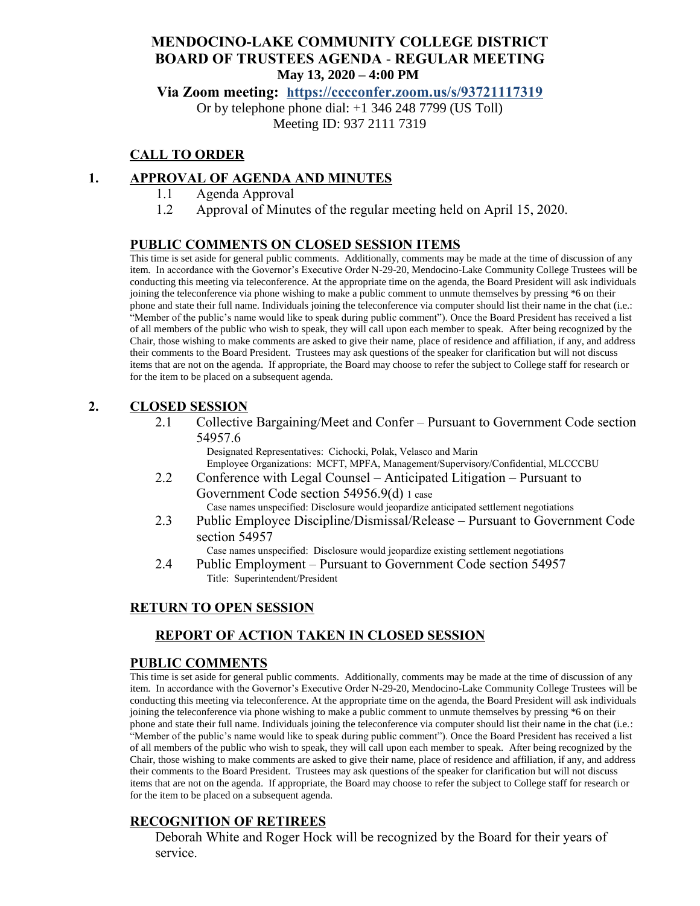# **MENDOCINO-LAKE COMMUNITY COLLEGE DISTRICT BOARD OF TRUSTEES AGENDA** - **REGULAR MEETING May 13, 2020 – 4:00 PM**

**Via Zoom meeting: h[ttps://cccconfer.zoom.us/s/93721117319](https://cccconfer.zoom.us/s/93721117319)**

Or by telephone phone dial: +1 346 248 7799 (US Toll) Meeting ID: 937 2111 7319

# **CALL TO ORDER**

#### **1. APPROVAL OF AGENDA AND MINUTES**

- 1.1 Agenda Approval
- 1.2 Approval of Minutes of the regular meeting held on April 15, 2020.

#### **PUBLIC COMMENTS ON CLOSED SESSION ITEMS**

This time is set aside for general public comments. Additionally, comments may be made at the time of discussion of any item. In accordance with the Governor's Executive Order N-29-20, Mendocino-Lake Community College Trustees will be conducting this meeting via teleconference. At the appropriate time on the agenda, the Board President will ask individuals joining the teleconference via phone wishing to make a public comment to unmute themselves by pressing \*6 on their phone and state their full name. Individuals joining the teleconference via computer should list their name in the chat (i.e.: "Member of the public's name would like to speak during public comment"). Once the Board President has received a list of all members of the public who wish to speak, they will call upon each member to speak. After being recognized by the Chair, those wishing to make comments are asked to give their name, place of residence and affiliation, if any, and address their comments to the Board President. Trustees may ask questions of the speaker for clarification but will not discuss items that are not on the agenda. If appropriate, the Board may choose to refer the subject to College staff for research or for the item to be placed on a subsequent agenda.

#### **2. CLOSED SESSION**

2.1 Collective Bargaining/Meet and Confer – Pursuant to Government Code section 54957.6

Designated Representatives: Cichocki, Polak, Velasco and Marin Employee Organizations: MCFT, MPFA, Management/Supervisory/Confidential, MLCCCBU

- 2.2 Conference with Legal Counsel Anticipated Litigation Pursuant to Government Code section 54956.9(d) 1 case Case names unspecified: Disclosure would jeopardize anticipated settlement negotiations
- 2.3 Public Employee Discipline/Dismissal/Release Pursuant to Government Code section 54957

Case names unspecified: Disclosure would jeopardize existing settlement negotiations 2.4 Public Employment – Pursuant to Government Code section 54957

Title: Superintendent/President

# **RETURN TO OPEN SESSION**

# **REPORT OF ACTION TAKEN IN CLOSED SESSION**

#### **PUBLIC COMMENTS**

This time is set aside for general public comments. Additionally, comments may be made at the time of discussion of any item. In accordance with the Governor's Executive Order N-29-20, Mendocino-Lake Community College Trustees will be conducting this meeting via teleconference. At the appropriate time on the agenda, the Board President will ask individuals joining the teleconference via phone wishing to make a public comment to unmute themselves by pressing \*6 on their phone and state their full name. Individuals joining the teleconference via computer should list their name in the chat (i.e.: "Member of the public's name would like to speak during public comment"). Once the Board President has received a list of all members of the public who wish to speak, they will call upon each member to speak. After being recognized by the Chair, those wishing to make comments are asked to give their name, place of residence and affiliation, if any, and address their comments to the Board President. Trustees may ask questions of the speaker for clarification but will not discuss items that are not on the agenda. If appropriate, the Board may choose to refer the subject to College staff for research or for the item to be placed on a subsequent agenda.

# **RECOGNITION OF RETIREES**

Deborah White and Roger Hock will be recognized by the Board for their years of service.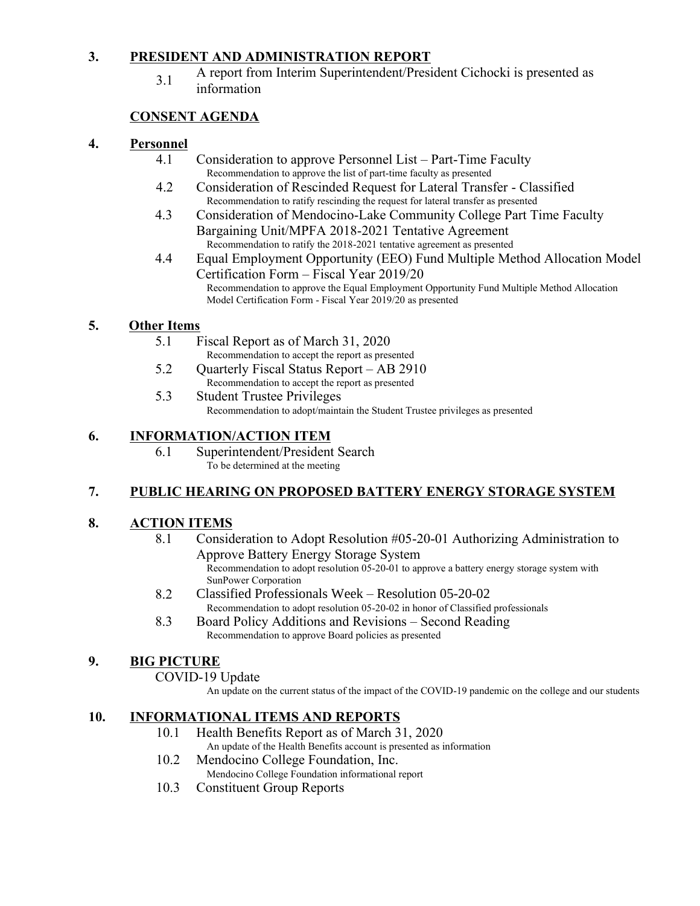# **3. PRESIDENT AND ADMINISTRATION REPORT**

3.1 A report from Interim Superintendent/President Cichocki is presented as information

# **CONSENT AGENDA**

#### **4. Personnel**

- 4.1 Consideration to approve Personnel List Part-Time Faculty Recommendation to approve the list of part-time faculty as presented
- 4.2 Consideration of Rescinded Request for Lateral Transfer Classified Recommendation to ratify rescinding the request for lateral transfer as presented
- 4.3 Consideration of Mendocino-Lake Community College Part Time Faculty Bargaining Unit/MPFA 2018-2021 Tentative Agreement Recommendation to ratify the 2018-2021 tentative agreement as presented
- 4.4 Equal Employment Opportunity (EEO) Fund Multiple Method Allocation Model Certification Form – Fiscal Year 2019/20 Recommendation to approve the Equal Employment Opportunity Fund Multiple Method Allocation Model Certification Form - Fiscal Year 2019/20 as presented

# **5. Other Items**

- 5.1 Fiscal Report as of March 31, 2020
- Recommendation to accept the report as presented 5.2 Quarterly Fiscal Status Report – AB 2910
- Recommendation to accept the report as presented 5.3 Student Trustee Privileges Recommendation to adopt/maintain the Student Trustee privileges as presented

#### **6. INFORMATION/ACTION ITEM**

6.1 Superintendent/President Search To be determined at the meeting

# **7. PUBLIC HEARING ON PROPOSED BATTERY ENERGY STORAGE SYSTEM**

# **8. ACTION ITEMS**

- 8.1 Consideration to Adopt Resolution #05-20-01 Authorizing Administration to Approve Battery Energy Storage System Recommendation to adopt resolution 05-20-01 to approve a battery energy storage system with SunPower Corporation
- 8.2 Classified Professionals Week Resolution 05-20-02 Recommendation to adopt resolution 05-20-02 in honor of Classified professionals
- 8.3 Board Policy Additions and Revisions Second Reading Recommendation to approve Board policies as presented

# **9. BIG PICTURE**

# COVID-19 Update

An update on the current status of the impact of the COVID-19 pandemic on the college and our students

# **10. INFORMATIONAL ITEMS AND REPORTS**

- 10.1 Health Benefits Report as of March 31, 2020
- An update of the Health Benefits account is presented as information 10.2 Mendocino College Foundation, Inc.
	- Mendocino College Foundation informational report
- 10.3 Constituent Group Reports